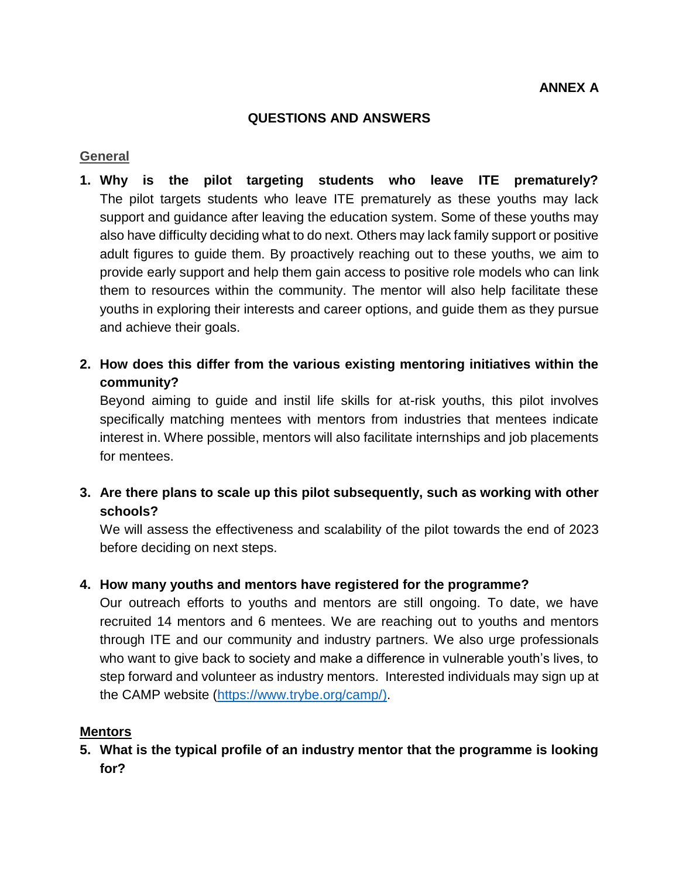#### **QUESTIONS AND ANSWERS**

#### **General**

- **1. Why is the pilot targeting students who leave ITE prematurely?** The pilot targets students who leave ITE prematurely as these youths may lack support and guidance after leaving the education system. Some of these youths may also have difficulty deciding what to do next. Others may lack family support or positive adult figures to guide them. By proactively reaching out to these youths, we aim to provide early support and help them gain access to positive role models who can link them to resources within the community. The mentor will also help facilitate these youths in exploring their interests and career options, and guide them as they pursue and achieve their goals.
- **2. How does this differ from the various existing mentoring initiatives within the community?**

Beyond aiming to guide and instil life skills for at-risk youths, this pilot involves specifically matching mentees with mentors from industries that mentees indicate interest in. Where possible, mentors will also facilitate internships and job placements for mentees.

**3. Are there plans to scale up this pilot subsequently, such as working with other schools?**

We will assess the effectiveness and scalability of the pilot towards the end of 2023 before deciding on next steps.

#### **4. How many youths and mentors have registered for the programme?**

Our outreach efforts to youths and mentors are still ongoing. To date, we have recruited 14 mentors and 6 mentees. We are reaching out to youths and mentors through ITE and our community and industry partners. We also urge professionals who want to give back to society and make a difference in vulnerable youth's lives, to step forward and volunteer as industry mentors. Interested individuals may sign up at the CAMP website [\(https://www.trybe.org/camp/\)](https://www.trybe.org/camp/).

#### **Mentors**

**5. What is the typical profile of an industry mentor that the programme is looking for?**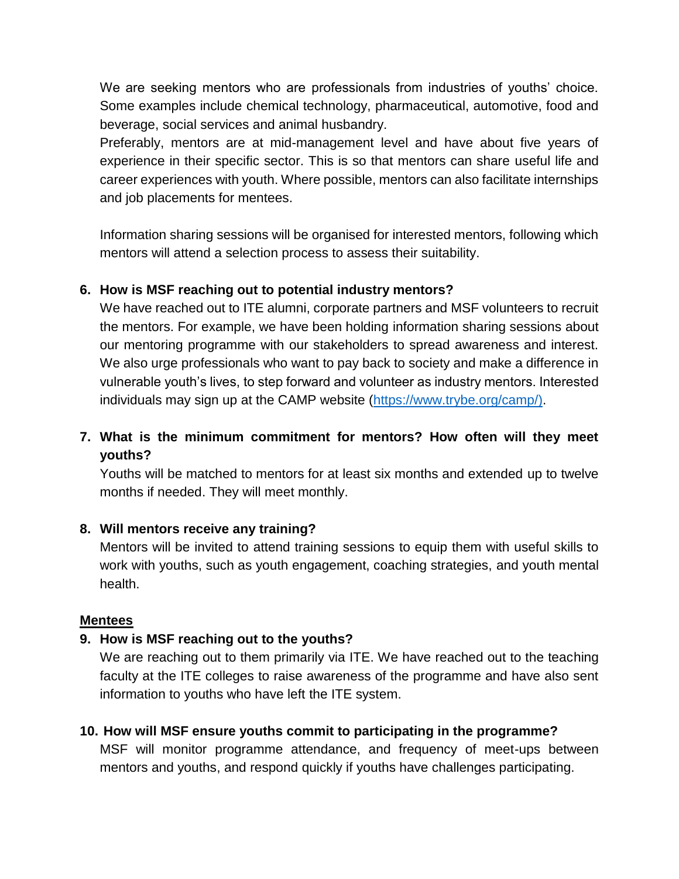We are seeking mentors who are professionals from industries of youths' choice. Some examples include chemical technology, pharmaceutical, automotive, food and beverage, social services and animal husbandry.

Preferably, mentors are at mid-management level and have about five years of experience in their specific sector. This is so that mentors can share useful life and career experiences with youth. Where possible, mentors can also facilitate internships and job placements for mentees.

Information sharing sessions will be organised for interested mentors, following which mentors will attend a selection process to assess their suitability.

# **6. How is MSF reaching out to potential industry mentors?**

We have reached out to ITE alumni, corporate partners and MSF volunteers to recruit the mentors. For example, we have been holding information sharing sessions about our mentoring programme with our stakeholders to spread awareness and interest. We also urge professionals who want to pay back to society and make a difference in vulnerable youth's lives, to step forward and volunteer as industry mentors. Interested individuals may sign up at the CAMP website [\(https://www.trybe.org/camp/\)](https://www.trybe.org/camp/).

# **7. What is the minimum commitment for mentors? How often will they meet youths?**

Youths will be matched to mentors for at least six months and extended up to twelve months if needed. They will meet monthly.

## **8. Will mentors receive any training?**

Mentors will be invited to attend training sessions to equip them with useful skills to work with youths, such as youth engagement, coaching strategies, and youth mental health.

## **Mentees**

## **9. How is MSF reaching out to the youths?**

We are reaching out to them primarily via ITE. We have reached out to the teaching faculty at the ITE colleges to raise awareness of the programme and have also sent information to youths who have left the ITE system.

## **10. How will MSF ensure youths commit to participating in the programme?**

MSF will monitor programme attendance, and frequency of meet-ups between mentors and youths, and respond quickly if youths have challenges participating.